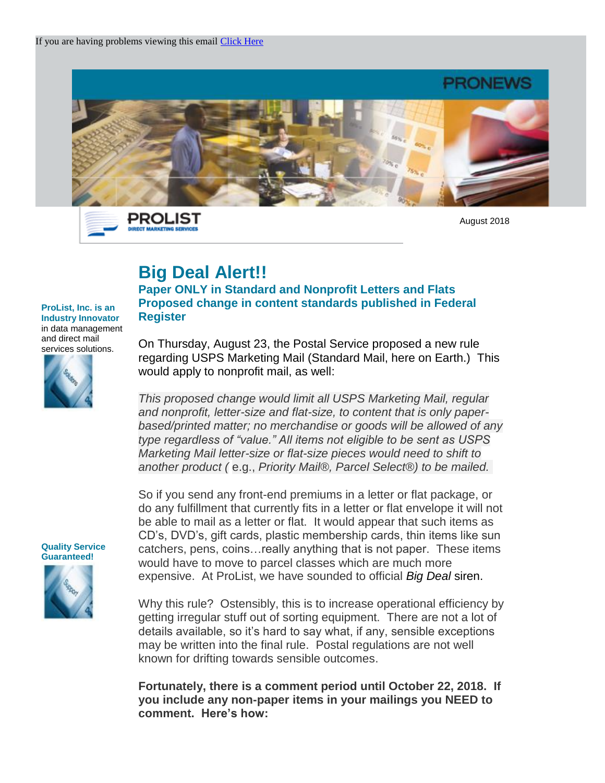

PROLIST **DIRECT MARKETING SER** 

August 2018

## **Big Deal Alert!!**

## **Paper ONLY in Standard and Nonprofit Letters and Flats Proposed change in content standards published in Federal Register**

**ProList, Inc. is an Industry Innovator** in data management and direct mail services solutions.



On Thursday, August 23, the Postal Service proposed a new rule regarding USPS Marketing Mail (Standard Mail, here on Earth.) This would apply to nonprofit mail, as well:

*This proposed change would limit all USPS Marketing Mail, regular and nonprofit, letter-size and flat-size, to content that is only paperbased/printed matter; no merchandise or goods will be allowed of any type regardless of "value." All items not eligible to be sent as USPS Marketing Mail letter-size or flat-size pieces would need to shift to another product (* e.g., *Priority Mail®, Parcel Select®) to be mailed.*

So if you send any front-end premiums in a letter or flat package, or do any fulfillment that currently fits in a letter or flat envelope it will not be able to mail as a letter or flat. It would appear that such items as CD's, DVD's, gift cards, plastic membership cards, thin items like sun catchers, pens, coins…really anything that is not paper. These items would have to move to parcel classes which are much more expensive. At ProList, we have sounded to official *Big Deal* siren.

Why this rule? Ostensibly, this is to increase operational efficiency by getting irregular stuff out of sorting equipment. There are not a lot of details available, so it's hard to say what, if any, sensible exceptions may be written into the final rule. Postal regulations are not well known for drifting towards sensible outcomes.

**Fortunately, there is a comment period until October 22, 2018. If you include any non-paper items in your mailings you NEED to comment. Here's how:**

**Quality Service Guaranteed!** 

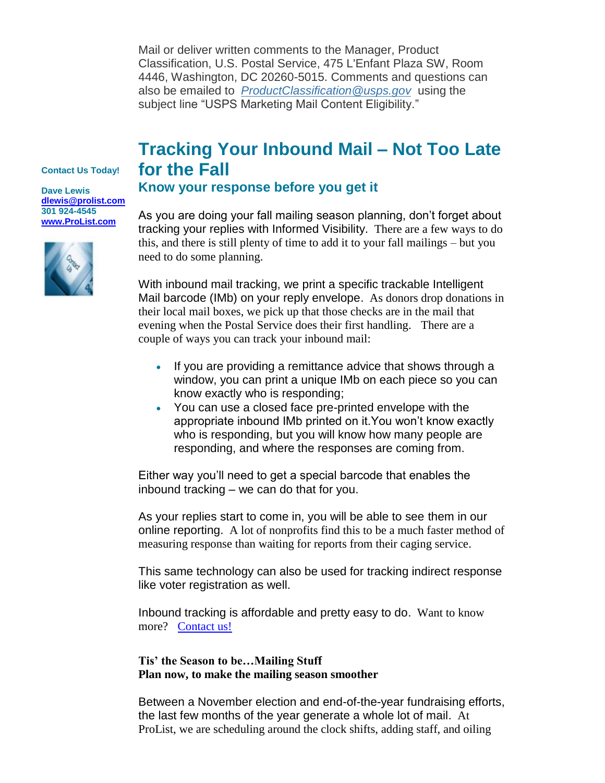Mail or deliver written comments to the Manager, Product Classification, U.S. Postal Service, 475 L'Enfant Plaza SW, Room 4446, Washington, DC 20260-5015. Comments and questions can also be emailed to *[ProductClassification@usps.gov](mailto:ProductClassification@usps.gov?subject=USPS%20Marketing%20Mail%20Content%20Eligibility)* using the subject line "USPS Marketing Mail Content Eligibility."

## **Tracking Your Inbound Mail – Not Too Late for the Fall**

**Contact Us Today!**

**Dave Lewis [dlewis@prolist.com](mailto:dlewis@prolist.com) 301 924-4545 [www.ProList.com](http://trk.publicaster.com/click/c2f1-ujoiw-gvrhvt-73hxzcz6/)**



## **Know your response before you get it**

As you are doing your fall mailing season planning, don't forget about tracking your replies with Informed Visibility. There are a few ways to do this, and there is still plenty of time to add it to your fall mailings – but you need to do some planning.

With inbound mail tracking, we print a specific trackable Intelligent Mail barcode (IMb) on your reply envelope. As donors drop donations in their local mail boxes, we pick up that those checks are in the mail that evening when the Postal Service does their first handling. There are a couple of ways you can track your inbound mail:

- If you are providing a remittance advice that shows through a window, you can print a unique IMb on each piece so you can know exactly who is responding;
- You can use a closed face pre-printed envelope with the appropriate inbound IMb printed on it.You won't know exactly who is responding, but you will know how many people are responding, and where the responses are coming from.

Either way you'll need to get a special barcode that enables the inbound tracking – we can do that for you.

As your replies start to come in, you will be able to see them in our online reporting. A lot of nonprofits find this to be a much faster method of measuring response than waiting for reports from their caging service.

This same technology can also be used for tracking indirect response like voter registration as well.

Inbound tracking is affordable and pretty easy to do. Want to know more? [Contact us!](http://trk.publicaster.com/click/c2f1-sfae3-g25q5a-73hxzcz0/)

**Tis' the Season to be…Mailing Stuff Plan now, to make the mailing season smoother**

Between a November election and end-of-the-year fundraising efforts, the last few months of the year generate a whole lot of mail. At ProList, we are scheduling around the clock shifts, adding staff, and oiling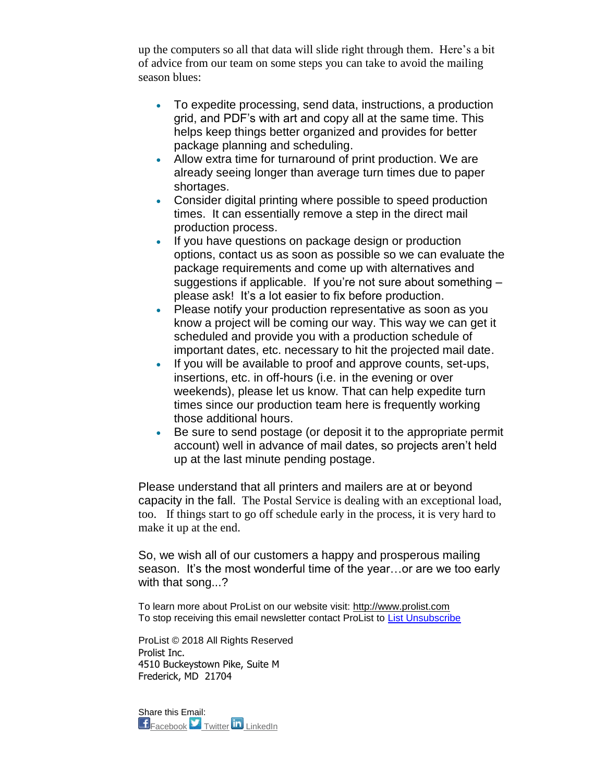up the computers so all that data will slide right through them. Here's a bit of advice from our team on some steps you can take to avoid the mailing season blues:

- To expedite processing, send data, instructions, a production grid, and PDF's with art and copy all at the same time. This helps keep things better organized and provides for better package planning and scheduling.
- Allow extra time for turnaround of print production. We are already seeing longer than average turn times due to paper shortages.
- Consider digital printing where possible to speed production times. It can essentially remove a step in the direct mail production process.
- If you have questions on package design or production options, contact us as soon as possible so we can evaluate the package requirements and come up with alternatives and suggestions if applicable. If you're not sure about something – please ask! It's a lot easier to fix before production.
- Please notify your production representative as soon as you know a project will be coming our way. This way we can get it scheduled and provide you with a production schedule of important dates, etc. necessary to hit the projected mail date.
- If you will be available to proof and approve counts, set-ups, insertions, etc. in off-hours (i.e. in the evening or over weekends), please let us know. That can help expedite turn times since our production team here is frequently working those additional hours.
- Be sure to send postage (or deposit it to the appropriate permit account) well in advance of mail dates, so projects aren't held up at the last minute pending postage.

Please understand that all printers and mailers are at or beyond capacity in the fall. The Postal Service is dealing with an exceptional load, too. If things start to go off schedule early in the process, it is very hard to make it up at the end.

So, we wish all of our customers a happy and prosperous mailing season. It's the most wonderful time of the year...or are we too early with that song...?

To learn more about ProList on our website visit: [http://www.prolist.com](http://trk.publicaster.com/click/c2f1-ujoiw-gvrhvw-73hxzcz9/) To stop receiving this email newsletter contact ProList to [List Unsubscribe](http://trk.publicaster.com/form?ujoiw--rq16-73hxzcz8&sl=22b&t=5&ac=c2f1)

ProList © 2018 All Rights Reserved Prolist Inc. 4510 Buckeystown Pike, Suite M Frederick, MD 21704

Share this Email: **F** [Facebook](http://trk.publicaster.com/click/c2f1-ujoiw-gvrhvx-73hxzcz0/) **T** [Twitter](http://trk.publicaster.com/click/c2f1-ujoiw-gvrhvy-73hxzcz1/) **in** [LinkedIn](http://trk.publicaster.com/click/c2f1-ujoiw-gvrhvz-73hxzcz2/)